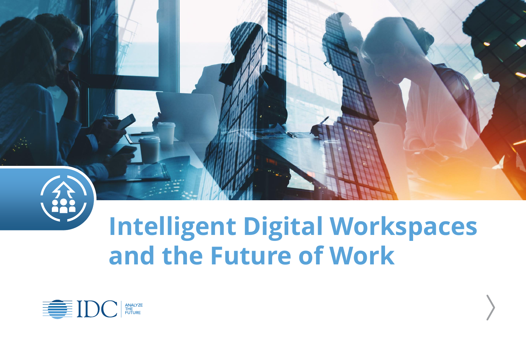

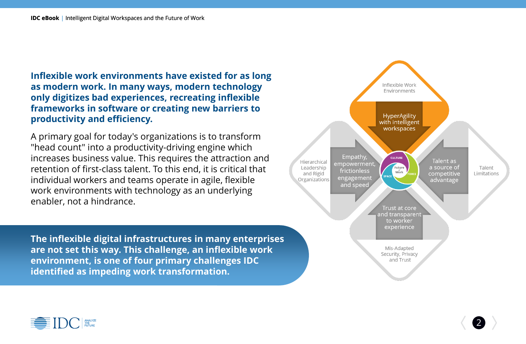**Inflexible work environments have existed for as long as modern work. In many ways, modern technology only digitizes bad experiences, recreating inflexible frameworks in software or creating new barriers to productivity and efficiency.**

A primary goal for today's organizations is to transform "head count" into a productivity-driving engine which increases business value. This requires the attraction and retention of first-class talent. To this end, it is critical that individual workers and teams operate in agile, flexible work environments with technology as an underlying enabler, not a hindrance.

**The inflexible digital infrastructures in many enterprises are not set this way. This challenge, an inflexible work environment, is one of four primary challenges IDC identified as impeding work transformation.**



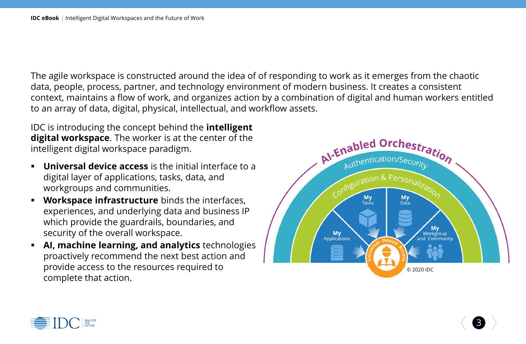The agile workspace is constructed around the idea of of responding to work as it emerges from the chaotic data, people, process, partner, and technology environment of modern business. It creates a consistent context, maintains a flow of work, and organizes action by a combination of digital and human workers entitled to an array of data, digital, physical, intellectual, and workflow assets.

IDC is introducing the concept behind the **intelligent digital workspace**. The worker is at the center of the intelligent digital workspace paradigm.

- **Universal device access** is the initial interface to a digital layer of applications, tasks, data, and workgroups and communities.
- **Workspace infrastructure** binds the interfaces, experiences, and underlying data and business IP which provide the guardrails, boundaries, and security of the overall workspace.
- **AI, machine learning, and analytics** technologies proactively recommend the next best action and provide access to the resources required to complete that action.



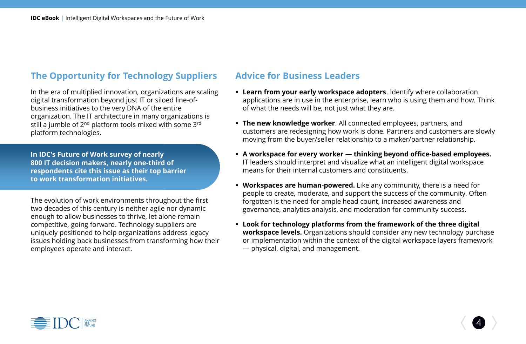## **The Opportunity for Technology Suppliers**

In the era of multiplied innovation, organizations are scaling digital transformation beyond just IT or siloed line-ofbusiness initiatives to the very DNA of the entire organization. The IT architecture in many organizations is still a jumble of 2<sup>nd</sup> platform tools mixed with some 3<sup>rd</sup> platform technologies.

**In IDC's Future of Work survey of nearly 800 IT decision makers, nearly one-third of respondents cite this issue as their top barrier to work transformation initiatives.**

The evolution of work environments throughout the first two decades of this century is neither agile nor dynamic enough to allow businesses to thrive, let alone remain competitive, going forward. Technology suppliers are uniquely positioned to help organizations address legacy issues holding back businesses from transforming how their employees operate and interact.

## **Advice for Business Leaders**

- **Exam from your early workspace adopters.** Identify where collaboration applications are in use in the enterprise, learn who is using them and how. Think of what the needs will be, not just what they are.
- **EXTER 15 Finally Property The new knowledge worker.** All connected employees, partners, and customers are redesigning how work is done. Partners and customers are slowly moving from the buyer/seller relationship to a maker/partner relationship.
- **A workspace for every worker — thinking beyond office-based employees.**  IT leaders should interpret and visualize what an intelligent digital workspace means for their internal customers and constituents.
- **Workspaces are human-powered.** Like any community, there is a need for people to create, moderate, and support the success of the community. Often forgotten is the need for ample head count, increased awareness and governance, analytics analysis, and moderation for community success.
- **Look for technology platforms from the framework of the three digital workspace levels.** Organizations should consider any new technology purchase or implementation within the context of the digital workspace layers framework — physical, digital, and management.

4